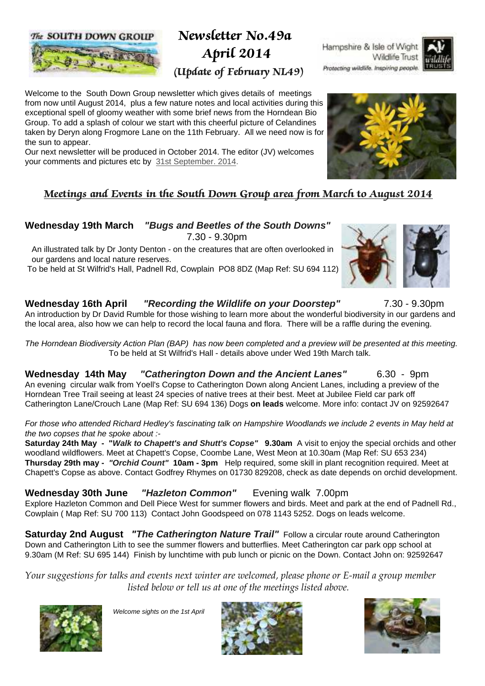#### The SOUTH DOWN GROUP



# Newsletter No.49a April 2014

## (Update of February NL49)

Welcome to the South Down Group newsletter which gives details of meetings from now until August 2014, plus a few nature notes and local activities during this exceptional spell of gloomy weather with some brief news from the Horndean Bio Group. To add a splash of colour we start with this cheerful picture of Celandines taken by Deryn along Frogmore Lane on the 11th February. All we need now is for the sun to appear.

Our next newsletter will be produced in October 2014. The editor (JV) welcomes your comments and pictures etc by 31st September. 2014.

### Meetings and Events in the South Down Group area from March to August 2014

#### **Wednesday 19th March "Bugs and Beetles of the South Downs"** 7.30 - 9.30pm

 An illustrated talk by Dr Jonty Denton - on the creatures that are often overlooked in our gardens and local nature reserves.

To be held at St Wilfrid's Hall, Padnell Rd, Cowplain PO8 8DZ (Map Ref: SU 694 112)

#### **Wednesday 16th April "Recording the Wildlife on your Doorstep"** 7.30 - 9.30pm

An introduction by Dr David Rumble for those wishing to learn more about the wonderful biodiversity in our gardens and the local area, also how we can help to record the local fauna and flora. There will be a raffle during the evening.

The Horndean Biodiversity Action Plan (BAP) has now been completed and a preview will be presented at this meeting. To be held at St Wilfrid's Hall - details above under Wed 19th March talk.

**Wednesday 14th May "Catherington Down and the Ancient Lanes"** 6.30 - 9pm An evening circular walk from Yoell's Copse to Catherington Down along Ancient Lanes, including a preview of the Horndean Tree Trail seeing at least 24 species of native trees at their best. Meet at Jubilee Field car park off Catherington Lane/Crouch Lane (Map Ref: SU 694 136) Dogs **on leads** welcome. More info: contact JV on 92592647

For those who attended Richard Hedley's fascinating talk on Hampshire Woodlands we include 2 events in May held at the two copses that he spoke about :-

**Saturday 24th May - "Walk to Chapett's and Shutt's Copse" 9.30am** A visit to enjoy the special orchids and other woodland wildflowers. Meet at Chapett's Copse, Coombe Lane, West Meon at 10.30am (Map Ref: SU 653 234) **Thursday 29th may - "Orchid Count" 10am - 3pm** Help required, some skill in plant recognition required. Meet at Chapett's Copse as above. Contact Godfrey Rhymes on 01730 829208, check as date depends on orchid development.

**Wednesday 30th June "Hazleton Common"** Evening walk 7.00pm Explore Hazleton Common and Dell Piece West for summer flowers and birds. Meet and park at the end of Padnell Rd., Cowplain ( Map Ref: SU 700 113) Contact John Goodspeed on 078 1143 5252. Dogs on leads welcome.

**Saturday 2nd August** *"The Catherington Nature Trail"* Follow a circular route around Catherington Down and Catherington Lith to see the summer flowers and butterflies. Meet Catherington car park opp school at 9.30am (M Ref: SU 695 144) Finish by lunchtime with pub lunch or picnic on the Down. Contact John on: 92592647

*Your suggestions for talks and events next winter are welcomed, please phone or E-mail a group member listed below or tell us at one of the meetings listed above.*



Welcome sights on the 1st April







Wildlife Trust

Hampshire & Isle of Wight

Protecting wildlife. Inspiring people.